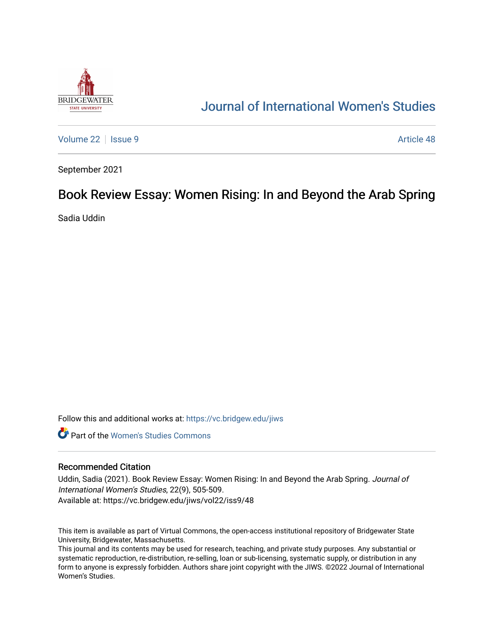

## [Journal of International Women's Studies](https://vc.bridgew.edu/jiws)

[Volume 22](https://vc.bridgew.edu/jiws/vol22) | [Issue 9](https://vc.bridgew.edu/jiws/vol22/iss9) Article 48

September 2021

# Book Review Essay: Women Rising: In and Beyond the Arab Spring

Sadia Uddin

Follow this and additional works at: [https://vc.bridgew.edu/jiws](https://vc.bridgew.edu/jiws?utm_source=vc.bridgew.edu%2Fjiws%2Fvol22%2Fiss9%2F48&utm_medium=PDF&utm_campaign=PDFCoverPages)

**C** Part of the Women's Studies Commons

#### Recommended Citation

Uddin, Sadia (2021). Book Review Essay: Women Rising: In and Beyond the Arab Spring. Journal of International Women's Studies, 22(9), 505-509. Available at: https://vc.bridgew.edu/jiws/vol22/iss9/48

This item is available as part of Virtual Commons, the open-access institutional repository of Bridgewater State University, Bridgewater, Massachusetts.

This journal and its contents may be used for research, teaching, and private study purposes. Any substantial or systematic reproduction, re-distribution, re-selling, loan or sub-licensing, systematic supply, or distribution in any form to anyone is expressly forbidden. Authors share joint copyright with the JIWS. ©2022 Journal of International Women's Studies.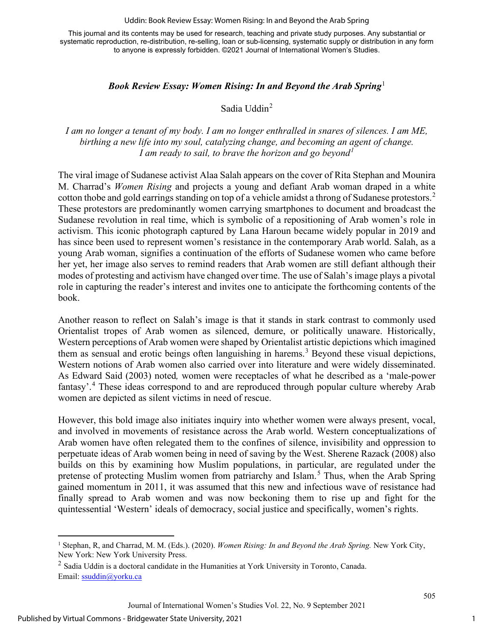#### Uddin: Book Review Essay: Women Rising: In and Beyond the Arab Spring

This journal and its contents may be used for research, teaching and private study purposes. Any substantial or systematic reproduction, re-distribution, re-selling, loan or sub-licensing, systematic supply or distribution in any form to anyone is expressly forbidden. ©2021 Journal of International Women's Studies.

### *Book Review Essay: Women Rising: In and Beyond the Arab Spring*[1](#page-1-0)

Sadia Uddin[2](#page-1-1)

## *I am no longer a tenant of my body. I am no longer enthralled in snares of silences. I am ME, birthing a new life into my soul, catalyzing change, and becoming an agent of change. I am ready to sail, to brave the horizon and go beyond[1](#page-5-0)*

The viral image of Sudanese activist Alaa Salah appears on the cover of Rita Stephan and Mounira M. Charrad's *Women Rising* and projects a young and defiant Arab woman draped in a white cotton thobe and gold earrings standing on top of a vehicle amidst a throng of Sudanese protestors.<sup>[2](#page-5-1)</sup> These protestors are predominantly women carrying smartphones to document and broadcast the Sudanese revolution in real time, which is symbolic of a repositioning of Arab women's role in activism. This iconic photograph captured by Lana Haroun became widely popular in 2019 and has since been used to represent women's resistance in the contemporary Arab world. Salah, as a young Arab woman, signifies a continuation of the efforts of Sudanese women who came before her yet, her image also serves to remind readers that Arab women are still defiant although their modes of protesting and activism have changed over time. The use of Salah's image plays a pivotal role in capturing the reader's interest and invites one to anticipate the forthcoming contents of the book.

Another reason to reflect on Salah's image is that it stands in stark contrast to commonly used Orientalist tropes of Arab women as silenced, demure, or politically unaware. Historically, Western perceptions of Arab women were shaped by Orientalist artistic depictions which imagined them as sensual and erotic beings often languishing in harems.<sup>[3](#page-5-2)</sup> Beyond these visual depictions, Western notions of Arab women also carried over into literature and were widely disseminated. As Edward Said (2003) noted*,* women were receptacles of what he described as a 'male-power fantasy'.<sup>[4](#page-5-3)</sup> These ideas correspond to and are reproduced through popular culture whereby Arab women are depicted as silent victims in need of rescue.

However, this bold image also initiates inquiry into whether women were always present, vocal, and involved in movements of resistance across the Arab world. Western conceptualizations of Arab women have often relegated them to the confines of silence, invisibility and oppression to perpetuate ideas of Arab women being in need of saving by the West. Sherene Razack (2008) also builds on this by examining how Muslim populations, in particular, are regulated under the pretense of protecting Muslim women from patriarchy and Islam.<sup>[5](#page-5-4)</sup> Thus, when the Arab Spring gained momentum in 2011, it was assumed that this new and infectious wave of resistance had finally spread to Arab women and was now beckoning them to rise up and fight for the quintessential 'Western' ideals of democracy, social justice and specifically, women's rights.

<span id="page-1-0"></span><sup>1</sup> Stephan, R, and Charrad, M. M. (Eds.). (2020). *Women Rising: In and Beyond the Arab Spring.* New York City, New York: New York University Press.

<span id="page-1-1"></span> $<sup>2</sup>$  Sadia Uddin is a doctoral candidate in the Humanities at York University in Toronto, Canada.</sup> Εmail: [ssuddin@yorku.ca](mailto:ssuddin@yorku.ca)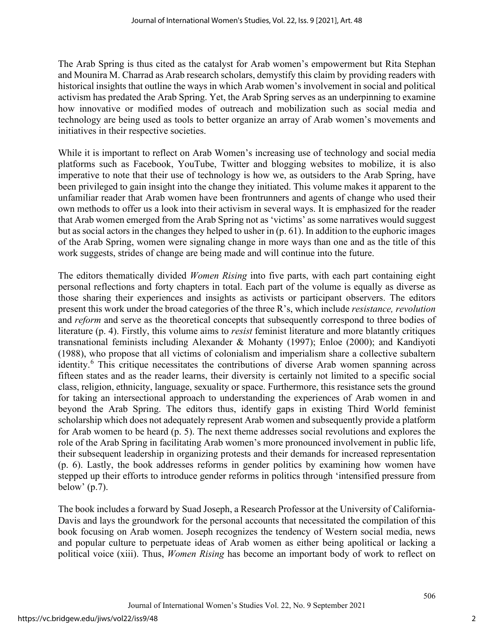The Arab Spring is thus cited as the catalyst for Arab women's empowerment but Rita Stephan and Mounira M. Charrad as Arab research scholars, demystify this claim by providing readers with historical insights that outline the ways in which Arab women's involvement in social and political activism has predated the Arab Spring. Yet, the Arab Spring serves as an underpinning to examine how innovative or modified modes of outreach and mobilization such as social media and technology are being used as tools to better organize an array of Arab women's movements and initiatives in their respective societies.

While it is important to reflect on Arab Women's increasing use of technology and social media platforms such as Facebook, YouTube, Twitter and blogging websites to mobilize, it is also imperative to note that their use of technology is how we, as outsiders to the Arab Spring, have been privileged to gain insight into the change they initiated. This volume makes it apparent to the unfamiliar reader that Arab women have been frontrunners and agents of change who used their own methods to offer us a look into their activism in several ways. It is emphasized for the reader that Arab women emerged from the Arab Spring not as 'victims' as some narratives would suggest but as social actors in the changes they helped to usher in (p. 61). In addition to the euphoric images of the Arab Spring, women were signaling change in more ways than one and as the title of this work suggests, strides of change are being made and will continue into the future.

The editors thematically divided *Women Rising* into five parts, with each part containing eight personal reflections and forty chapters in total. Each part of the volume is equally as diverse as those sharing their experiences and insights as activists or participant observers. The editors present this work under the broad categories of the three R's, which include *resistance, revolution*  and *reform* and serve as the theoretical concepts that subsequently correspond to three bodies of literature (p. 4). Firstly, this volume aims to *resist* feminist literature and more blatantly critiques transnational feminists including Alexander & Mohanty (1997); Enloe (2000); and Kandiyoti (1988), who propose that all victims of colonialism and imperialism share a collective subaltern identity. [6](#page-5-5) This critique necessitates the contributions of diverse Arab women spanning across fifteen states and as the reader learns, their diversity is certainly not limited to a specific social class, religion, ethnicity, language, sexuality or space. Furthermore, this resistance sets the ground for taking an intersectional approach to understanding the experiences of Arab women in and beyond the Arab Spring. The editors thus, identify gaps in existing Third World feminist scholarship which does not adequately represent Arab women and subsequently provide a platform for Arab women to be heard (p. 5). The next theme addresses social revolutions and explores the role of the Arab Spring in facilitating Arab women's more pronounced involvement in public life, their subsequent leadership in organizing protests and their demands for increased representation (p. 6). Lastly, the book addresses reforms in gender politics by examining how women have stepped up their efforts to introduce gender reforms in politics through 'intensified pressure from below' (p.7).

The book includes a forward by Suad Joseph, a Research Professor at the University of California-Davis and lays the groundwork for the personal accounts that necessitated the compilation of this book focusing on Arab women. Joseph recognizes the tendency of Western social media, news and popular culture to perpetuate ideas of Arab women as either being apolitical or lacking a political voice (xiii). Thus, *Women Rising* has become an important body of work to reflect on

2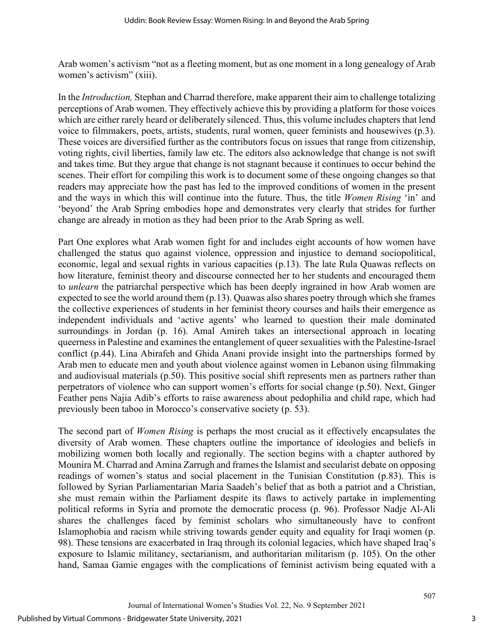Arab women's activism "not as a fleeting moment, but as one moment in a long genealogy of Arab women's activism" (xiii).

In the *Introduction,* Stephan and Charrad therefore, make apparent their aim to challenge totalizing perceptions of Arab women. They effectively achieve this by providing a platform for those voices which are either rarely heard or deliberately silenced. Thus, this volume includes chapters that lend voice to filmmakers, poets, artists, students, rural women, queer feminists and housewives (p.3). These voices are diversified further as the contributors focus on issues that range from citizenship, voting rights, civil liberties, family law etc. The editors also acknowledge that change is not swift and takes time. But they argue that change is not stagnant because it continues to occur behind the scenes. Their effort for compiling this work is to document some of these ongoing changes so that readers may appreciate how the past has led to the improved conditions of women in the present and the ways in which this will continue into the future. Thus, the title *Women Rising* 'in' and 'beyond' the Arab Spring embodies hope and demonstrates very clearly that strides for further change are already in motion as they had been prior to the Arab Spring as well.

Part One explores what Arab women fight for and includes eight accounts of how women have challenged the status quo against violence, oppression and injustice to demand sociopolitical, economic, legal and sexual rights in various capacities (p.13). The late Rula Quawas reflects on how literature, feminist theory and discourse connected her to her students and encouraged them to *unlearn* the patriarchal perspective which has been deeply ingrained in how Arab women are expected to see the world around them (p.13). Quawas also shares poetry through which she frames the collective experiences of students in her feminist theory courses and hails their emergence as independent individuals and 'active agents' who learned to question their male dominated surroundings in Jordan (p. 16). Amal Amireh takes an intersectional approach in locating queerness in Palestine and examines the entanglement of queer sexualities with the Palestine-Israel conflict (p.44). Lina Abirafeh and Ghida Anani provide insight into the partnerships formed by Arab men to educate men and youth about violence against women in Lebanon using filmmaking and audiovisual materials (p.50). This positive social shift represents men as partners rather than perpetrators of violence who can support women's efforts for social change (p.50). Next, Ginger Feather pens Najia Adib's efforts to raise awareness about pedophilia and child rape, which had previously been taboo in Morocco's conservative society (p. 53).

The second part of *Women Rising* is perhaps the most crucial as it effectively encapsulates the diversity of Arab women. These chapters outline the importance of ideologies and beliefs in mobilizing women both locally and regionally. The section begins with a chapter authored by Mounira M. Charrad and Amina Zarrugh and frames the Islamist and secularist debate on opposing readings of women's status and social placement in the Tunisian Constitution (p.83). This is followed by Syrian Parliamentarian Maria Saadeh's belief that as both a patriot and a Christian, she must remain within the Parliament despite its flaws to actively partake in implementing political reforms in Syria and promote the democratic process (p. 96). Professor Nadje Al-Ali shares the challenges faced by feminist scholars who simultaneously have to confront Islamophobia and racism while striving towards gender equity and equality for Iraqi women (p. 98). These tensions are exacerbated in Iraq through its colonial legacies, which have shaped Iraq's exposure to Islamic militancy, sectarianism, and authoritarian militarism (p. 105). On the other hand, Samaa Gamie engages with the complications of feminist activism being equated with a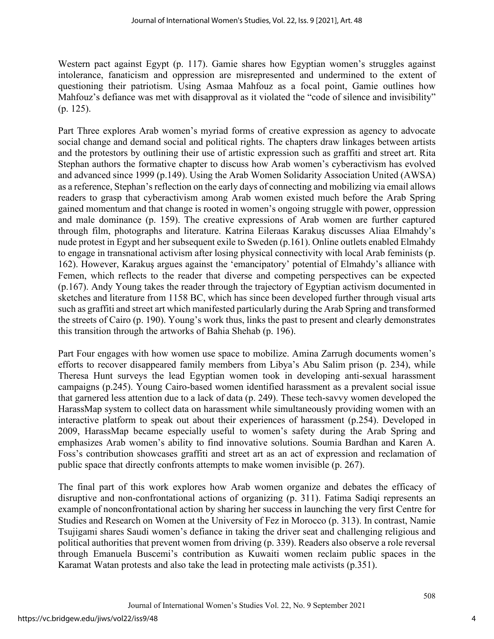Western pact against Egypt (p. 117). Gamie shares how Egyptian women's struggles against intolerance, fanaticism and oppression are misrepresented and undermined to the extent of questioning their patriotism. Using Asmaa Mahfouz as a focal point, Gamie outlines how Mahfouz's defiance was met with disapproval as it violated the "code of silence and invisibility" (p. 125).

Part Three explores Arab women's myriad forms of creative expression as agency to advocate social change and demand social and political rights. The chapters draw linkages between artists and the protestors by outlining their use of artistic expression such as graffiti and street art. Rita Stephan authors the formative chapter to discuss how Arab women's cyberactivism has evolved and advanced since 1999 (p.149). Using the Arab Women Solidarity Association United (AWSA) as a reference, Stephan's reflection on the early days of connecting and mobilizing via email allows readers to grasp that cyberactivism among Arab women existed much before the Arab Spring gained momentum and that change is rooted in women's ongoing struggle with power, oppression and male dominance (p. 159). The creative expressions of Arab women are further captured through film, photographs and literature. Katrina Eileraas Karakuş discusses Aliaa Elmahdy's nude protest in Egypt and her subsequent exile to Sweden (p.161). Online outlets enabled Elmahdy to engage in transnational activism after losing physical connectivity with local Arab feminists (p. 162). However, Karakuş argues against the 'emancipatory' potential of Elmahdy's alliance with Femen, which reflects to the reader that diverse and competing perspectives can be expected (p.167). Andy Young takes the reader through the trajectory of Egyptian activism documented in sketches and literature from 1158 BC, which has since been developed further through visual arts such as graffiti and street art which manifested particularly during the Arab Spring and transformed the streets of Cairo (p. 190). Young's work thus, links the past to present and clearly demonstrates this transition through the artworks of Bahia Shehab (p. 196).

Part Four engages with how women use space to mobilize. Amina Zarrugh documents women's efforts to recover disappeared family members from Libya's Abu Salim prison (p. 234), while Theresa Hunt surveys the lead Egyptian women took in developing anti-sexual harassment campaigns (p.245). Young Cairo-based women identified harassment as a prevalent social issue that garnered less attention due to a lack of data (p. 249). These tech-savvy women developed the HarassMap system to collect data on harassment while simultaneously providing women with an interactive platform to speak out about their experiences of harassment (p.254). Developed in 2009, HarassMap became especially useful to women's safety during the Arab Spring and emphasizes Arab women's ability to find innovative solutions. Soumia Bardhan and Karen A. Foss's contribution showcases graffiti and street art as an act of expression and reclamation of public space that directly confronts attempts to make women invisible (p. 267).

The final part of this work explores how Arab women organize and debates the efficacy of disruptive and non-confrontational actions of organizing (p. 311). Fatima Sadiqi represents an example of nonconfrontational action by sharing her success in launching the very first Centre for Studies and Research on Women at the University of Fez in Morocco (p. 313). In contrast, Namie Tsujigami shares Saudi women's defiance in taking the driver seat and challenging religious and political authorities that prevent women from driving (p. 339). Readers also observe a role reversal through Emanuela Buscemi's contribution as Kuwaiti women reclaim public spaces in the Karamat Watan protests and also take the lead in protecting male activists (p.351).

4